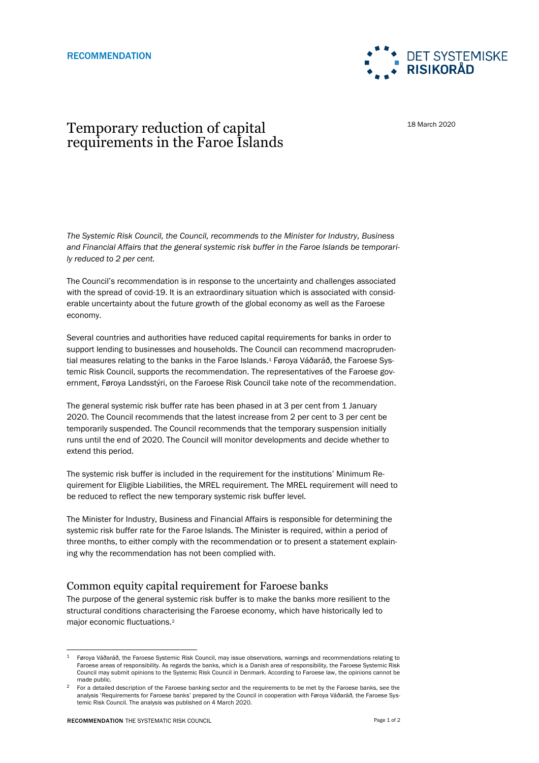

18 March 2020

## Temporary reduction of capital requirements in the Faroe Islands

*The Systemic Risk Council, the Council, recommends to the Minister for Industry, Business and Financial Affairs that the general systemic risk buffer in the Faroe Islands be temporarily reduced to 2 per cent.* 

The Council's recommendation is in response to the uncertainty and challenges associated with the spread of covid-19. It is an extraordinary situation which is associated with considerable uncertainty about the future growth of the global economy as well as the Faroese economy.

Several countries and authorities have reduced capital requirements for banks in order to support lending to businesses and households. The Council can recommend macroprudential measures relating to the banks in the Faroe Islands.<sup>1</sup> Føroya Váðaráð, the Faroese Systemic Risk Council, supports the recommendation. The representatives of the Faroese government, Føroya Landsstýri, on the Faroese Risk Council take note of the recommendation.

The general systemic risk buffer rate has been phased in at 3 per cent from 1 January 2020. The Council recommends that the latest increase from 2 per cent to 3 per cent be temporarily suspended. The Council recommends that the temporary suspension initially runs until the end of 2020. The Council will monitor developments and decide whether to extend this period.

The systemic risk buffer is included in the requirement for the institutions' Minimum Requirement for Eligible Liabilities, the MREL requirement. The MREL requirement will need to be reduced to reflect the new temporary systemic risk buffer level.

The Minister for Industry, Business and Financial Affairs is responsible for determining the systemic risk buffer rate for the Faroe Islands. The Minister is required, within a period of three months, to either comply with the recommendation or to present a statement explaining why the recommendation has not been complied with.

## Common equity capital requirement for Faroese banks

The purpose of the general systemic risk buffer is to make the banks more resilient to the structural conditions characterising the Faroese economy, which have historically led to major economic fluctuations.<sup>2</sup>

l

 $1$  Føroya Váðaráð, the Faroese Systemic Risk Council, may issue observations, warnings and recommendations relating to Faroese areas of responsibility. As regards the banks, which is a Danish area of responsibility, the Faroese Systemic Risk Council may submit opinions to the Systemic Risk Council in Denmark. According to Faroese law, the opinions cannot be made public.

<sup>2</sup> For a detailed description of the Faroese banking sector and the requirements to be met by the Faroese banks, see the analysis 'Requirements for Faroese banks' prepared by the Council in cooperation with Føroya Váðaráð, the Faroese Systemic Risk Council. The analysis was published on 4 March 2020.